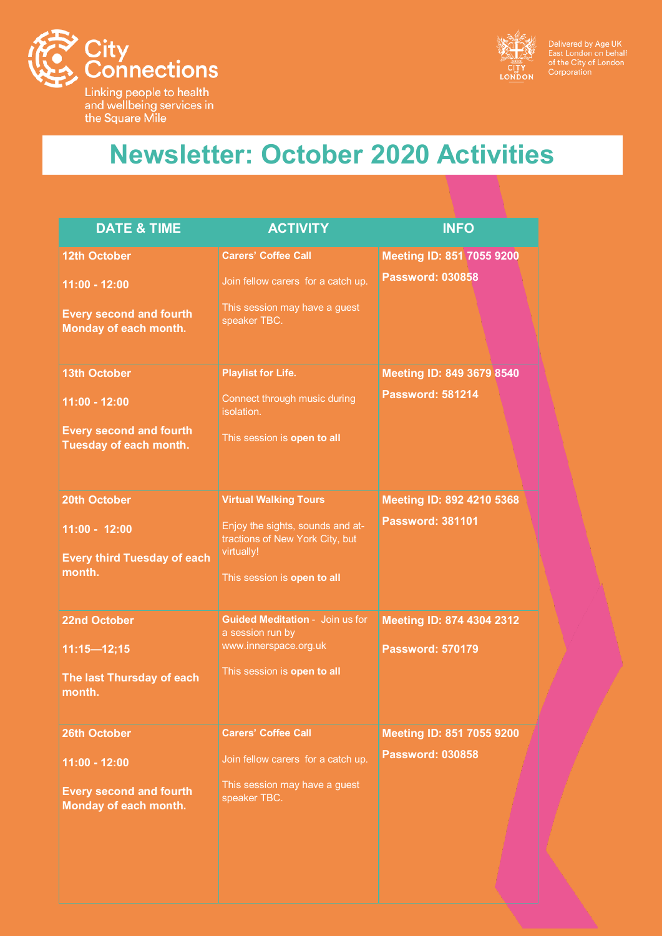

Linking people to health<br>and wellbeing services in<br>the Square Mile



Delivered by Age UK<br>East London on behalf<br>of the City of London<br>Corporation

## **Newsletter: October 2020 Activities**

| <b>DATE &amp; TIME</b>                                   | <b>ACTIVITY</b>                                                     | <b>INFO</b>               |
|----------------------------------------------------------|---------------------------------------------------------------------|---------------------------|
| <b>12th October</b>                                      | <b>Carers' Coffee Call</b>                                          | Meeting ID: 851 7055 9200 |
| 11:00 - 12:00                                            | Join fellow carers for a catch up.                                  | <b>Password: 030858</b>   |
| <b>Every second and fourth</b><br>Monday of each month.  | This session may have a guest<br>speaker TBC.                       |                           |
| <b>13th October</b>                                      | <b>Playlist for Life.</b>                                           | Meeting ID: 849 3679 8540 |
| 11:00 - 12:00                                            | Connect through music during<br>isolation.                          | <b>Password: 581214</b>   |
| <b>Every second and fourth</b><br>Tuesday of each month. | This session is open to all                                         |                           |
| 20th October                                             | <b>Virtual Walking Tours</b>                                        | Meeting ID: 892 4210 5368 |
| 11:00 - 12:00                                            | Enjoy the sights, sounds and at-<br>tractions of New York City, but | <b>Password: 381101</b>   |
| <b>Every third Tuesday of each</b><br>month.             | virtually!                                                          |                           |
|                                                          | This session is open to all                                         |                           |
| <b>22nd October</b>                                      | <b>Guided Meditation - Join us for</b><br>a session run by          | Meeting ID: 874 4304 2312 |
| $11:15 - 12:15$                                          | www.innerspace.org.uk                                               | <b>Password: 570179</b>   |
| The last Thursday of each<br>month.                      | This session is open to all                                         |                           |
| <b>26th October</b>                                      | <b>Carers' Coffee Call</b>                                          | Meeting ID: 851 7055 9200 |
| 11:00 - 12:00                                            | Join fellow carers for a catch up.                                  | <b>Password: 030858</b>   |
| <b>Every second and fourth</b><br>Monday of each month.  | This session may have a guest<br>speaker TBC.                       |                           |
|                                                          |                                                                     |                           |